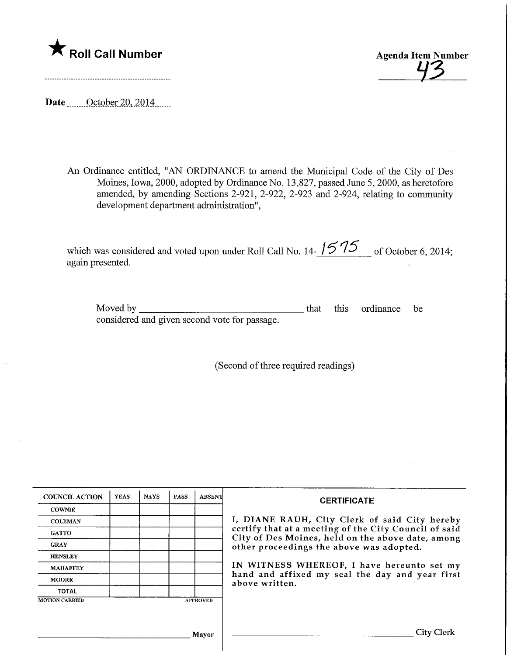

Agenda Item Number

Date <u>October</u> 20, 2014

An Ordinance entitled, "AN ORDINANCE to amend the Municipal Code of the City of Des Moines, Iowa, 2000, adopted by Ordinance No. 13,827, passed June 5,2000, as heretofore amended, by amending Sections 2-921, 2-922, 2-923 and 2-924, relating to community development department administration",

which was considered and voted upon under Roll Call No. 14- $\frac{1575}{ }$  of October 6, 2014; again presented.

Moved by considered and given second vote for passage. this ordinance be

(Second of three required readings)

| <b>COUNCIL ACTION</b> | <b>YEAS</b> | <b>NAYS</b> | <b>PASS</b> | <b>ABSENT</b>   | <b>CERTIFICATE</b>                                                                                                                                                                                      |
|-----------------------|-------------|-------------|-------------|-----------------|---------------------------------------------------------------------------------------------------------------------------------------------------------------------------------------------------------|
| <b>COWNIE</b>         |             |             |             |                 |                                                                                                                                                                                                         |
| <b>COLEMAN</b>        |             |             |             |                 | I, DIANE RAUH, City Clerk of said City hereby<br>certify that at a meeting of the City Council of said<br>City of Des Moines, held on the above date, among<br>other proceedings the above was adopted. |
| <b>GATTO</b>          |             |             |             |                 |                                                                                                                                                                                                         |
| <b>GRAY</b>           |             |             |             |                 |                                                                                                                                                                                                         |
| <b>HENSLEY</b>        |             |             |             |                 |                                                                                                                                                                                                         |
| <b>MAHAFFEY</b>       |             |             |             |                 | IN WITNESS WHEREOF, I have hereunto set my<br>hand and affixed my seal the day and year first<br>above written.                                                                                         |
| <b>MOORE</b>          |             |             |             |                 |                                                                                                                                                                                                         |
| <b>TOTAL</b>          |             |             |             |                 |                                                                                                                                                                                                         |
| <b>MOTION CARRIED</b> |             |             |             | <b>APPROVED</b> |                                                                                                                                                                                                         |
|                       |             |             |             |                 |                                                                                                                                                                                                         |
|                       |             |             |             | Mayor           | City Clerk                                                                                                                                                                                              |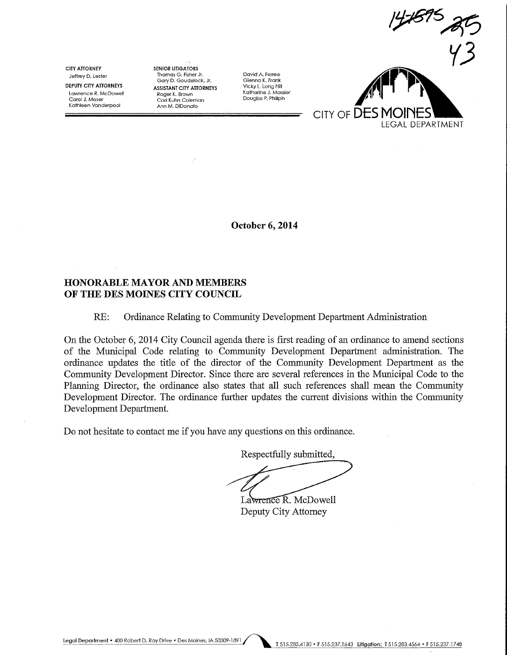CITY ATTORNEY Jeffrey D. Lester

DEPUTY CITY ATTORNEYS Lawrence R. McDowell Carol J. Moser Ka+hleen Vanderpool

SENIOR LITIGATORS Thomas G. Fisher Jr. Gary D. Goudelock, Jr. ASSISTANT CITY ATTORNEYS Roger K. Brown Cori Kuhn Coleman Ann M. DjDonato

David A. Ferree Glenna K. Frank Vicky L. Long Hill Katharine J. Massier Douglas P. Philiph



October 6,2014

### HONORABLE MAYOR AND MEMBERS OF THE DES MOINES CITY COUNCIL

#### RE: Ordinance Relating to Community Development Department Administration

On the October 6, 2014 City Council agenda there is first reading of an ordmance to amend sections of the Municipal Code relating to Community Development Department administration. The ordinance updates the title of the director of the Community Development Department as the Community Development Director. Since there are several references in the Municipal Code to the Planning Director, the ordinance also states that all such references shall mean the Community Development Director. The ordinance further updates the current divisions within the Community Development Department.

Do not hesitate to contact me if you have any questions on this ordinance.

Respectfully submitted,

Lawrence R. McDowell

Deputy City Attorney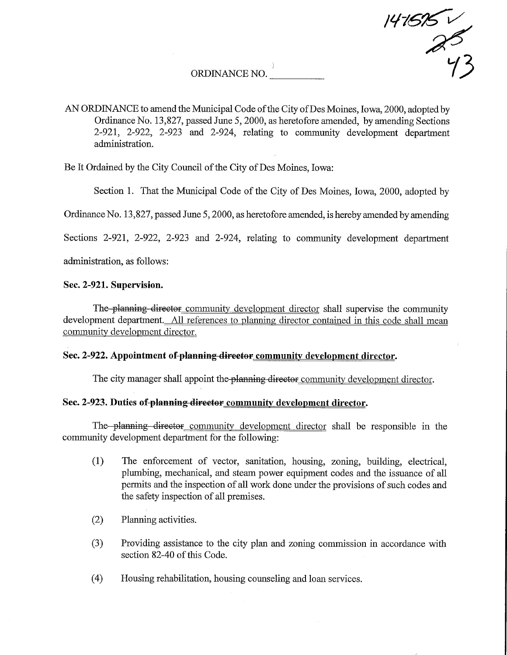ORDINANCE NO.

AN ORDINANCE to amend the Municipal Code of the City of Des Moines, Iowa, 2000, adopted by Ordinance No. 13,827, passed June 5,2000, as heretofore amended, by amending Sections  $2-921$ ,  $2-922$ ,  $2-923$  and  $2-924$ , relating to community development department admimstration.

147695 V

y3

Be It Ordained by the City Council of the City of Des Moines, Iowa:

Section 1. That the Municipal Code of the City of Des Moines, Iowa, 2000, adopted by

Ordinance No. 13,827, passed June 5,2000, as heretofore amended, is hereby amended by amending

Sections 2-921, 2-922, 2-923 and 2-924, relating to community development department

administration, as follows:

## Sec. 2-921. Supervision.

The planning director community development director shall supervise the community development department. All references to planning director contained in this code shall mean community development director.

# Sec. 2-922. Appointment of-planning director community development director.

The city manager shall appoint the planning director community development director.

# Sec. 2-923. Duties of planning director community development director.

The planning director community development director shall be responsible in the community development department for the following:

- (1) The enforcement of vector, sanitation, housing, zoning, building, electrical, plumbing, mechanical, and steam power equipment codes and the issuance of all permits and the inspection of all work done under the provisions of such codes and the safety inspection of all premises.
- (2) Planning activities.
- (3) Providing assistance to the city plan and zoning commission in accordance with section 82-40 of this Code.
- (4) Housing rehabilitation, housing counseling and loan services.